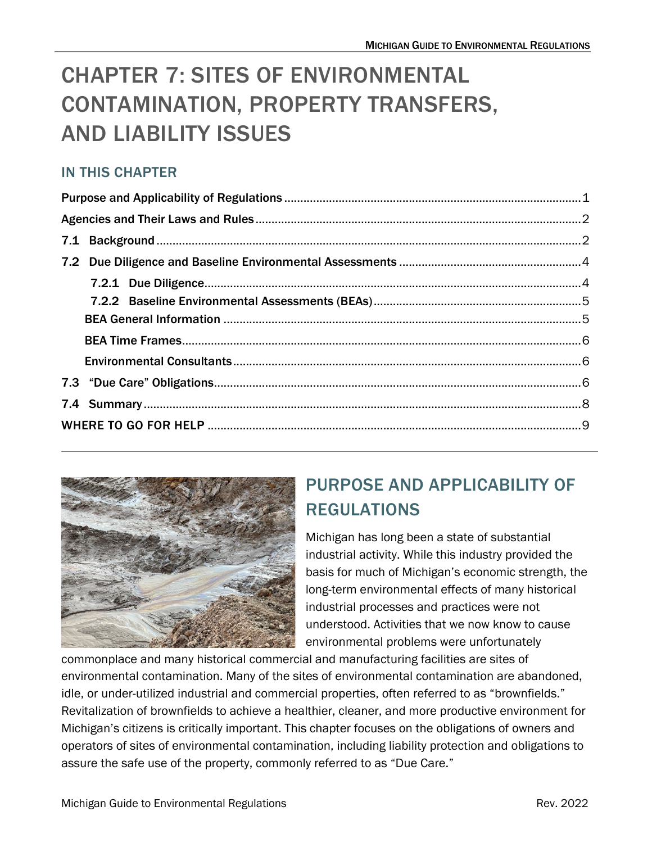# CHAPTER 7: SITES OF ENVIRONMENTAL CONTAMINATION, PROPERTY TRANSFERS, AND LIABILITY ISSUES

### IN THIS CHAPTER



# <span id="page-0-0"></span>PURPOSE AND APPLICABILITY OF REGULATIONS

Michigan has long been a state of substantial industrial activity. While this industry provided the basis for much of Michigan's economic strength, the long-term environmental effects of many historical industrial processes and practices were not understood. Activities that we now know to cause environmental problems were unfortunately

commonplace and many historical commercial and manufacturing facilities are sites of environmental contamination. Many of the sites of environmental contamination are abandoned, idle, or under-utilized industrial and commercial properties, often referred to as "brownfields." Revitalization of brownfields to achieve a healthier, cleaner, and more productive environment for Michigan's citizens is critically important. This chapter focuses on the obligations of owners and operators of sites of environmental contamination, including liability protection and obligations to assure the safe use of the property, commonly referred to as "Due Care."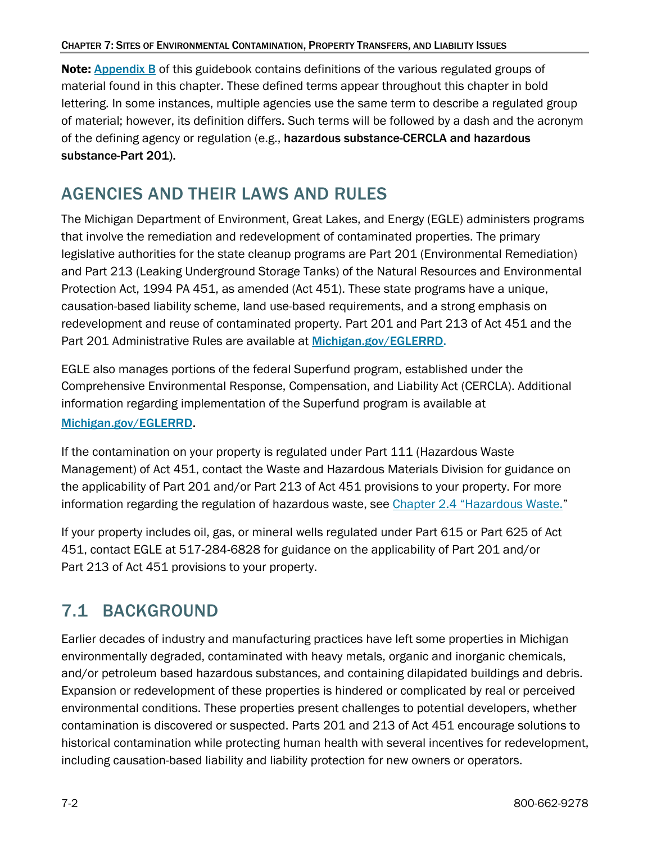Note:[Appendix B](https://www.michigan.gov/-/media/Project/Websites/egle/Documents/Regulatory-Assistance/Guidebooks/MI-Guide-to-Environmental-Regulations/MI-Guide-Environmental-Regulations-AppendixB.pdf) of this guidebook contains definitions of the various regulated groups of material found in this chapter. These defined terms appear throughout this chapter in bold lettering. In some instances, multiple agencies use the same term to describe a regulated group of material; however, its definition differs. Such terms will be followed by a dash and the acronym of the defining agency or regulation (e.g., hazardous substance-CERCLA and hazardous substance-Part 201).

### <span id="page-1-0"></span>AGENCIES AND THEIR LAWS AND RULES

The Michigan Department of Environment, Great Lakes, and Energy (EGLE) administers programs that involve the remediation and redevelopment of contaminated properties. The primary legislative authorities for the state cleanup programs are Part 201 (Environmental Remediation) and Part 213 (Leaking Underground Storage Tanks) of the Natural Resources and Environmental Protection Act, 1994 PA 451, as amended (Act 451). These state programs have a unique, causation-based liability scheme, land use-based requirements, and a strong emphasis on redevelopment and reuse of contaminated property. Part 201 and Part 213 of Act 451 and the Part 201 Administrative Rules are available at [Michigan.gov/EGLERRD.](https://www.michigan.gov/egle/about/organization/remediation-and-redevelopment)

EGLE also manages portions of the federal Superfund program, established under the Comprehensive Environmental Response, Compensation, and Liability Act (CERCLA). Additional information regarding implementation of the Superfund program is available at [Michigan.gov/EGLERRD](https://www.michigan.gov/egle/about/organization/remediation-and-redevelopment).

If the contamination on your property is regulated under Part 111 (Hazardous Waste Management) of Act 451, contact the Waste and Hazardous Materials Division for guidance on the applicability of Part 201 and/or Part 213 of Act 451 provisions to your property. For more information regarding the regulation of hazardous waste, see [Chapter 2.4 "Hazardous Waste."](https://www.michigan.gov/-/media/Project/Websites/egle/Documents/Regulatory-Assistance/Guidebooks/MI-Guide-to-Environmental-Regulations/MI-Guide-Environmental-Regulations-Ch2-Waste.pdf#page=34)

If your property includes oil, gas, or mineral wells regulated under Part 615 or Part 625 of Act 451, contact EGLE at 517-284-6828 for guidance on the applicability of Part 201 and/or Part 213 of Act 451 provisions to your property.

## <span id="page-1-1"></span>7.1 BACKGROUND

Earlier decades of industry and manufacturing practices have left some properties in Michigan environmentally degraded, contaminated with heavy metals, organic and inorganic chemicals, and/or petroleum based hazardous substances, and containing dilapidated buildings and debris. Expansion or redevelopment of these properties is hindered or complicated by real or perceived environmental conditions. These properties present challenges to potential developers, whether contamination is discovered or suspected. Parts 201 and 213 of Act 451 encourage solutions to historical contamination while protecting human health with several incentives for redevelopment, including causation-based liability and liability protection for new owners or operators.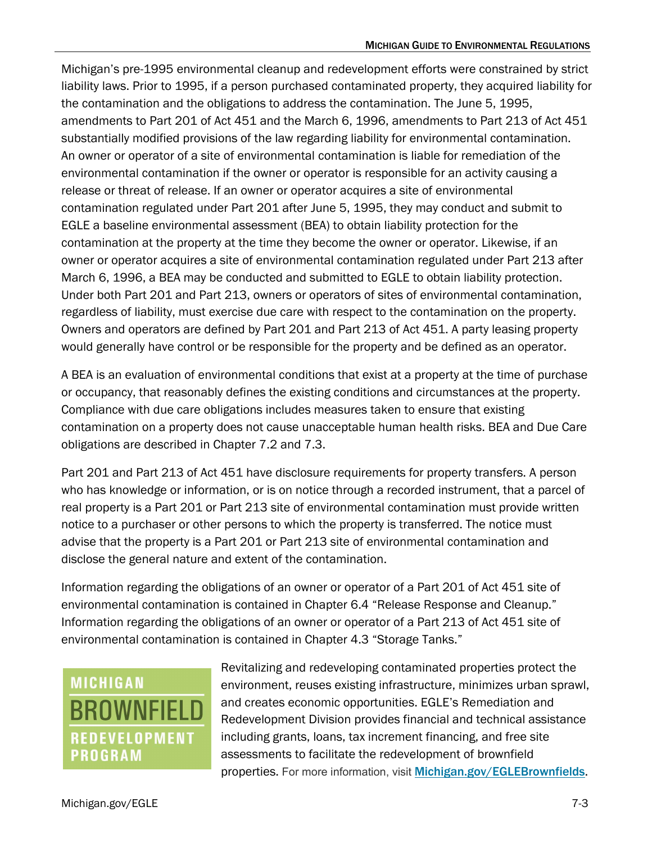Michigan's pre-1995 environmental cleanup and redevelopment efforts were constrained by strict liability laws. Prior to 1995, if a person purchased contaminated property, they acquired liability for the contamination and the obligations to address the contamination. The June 5, 1995, amendments to Part 201 of Act 451 and the March 6, 1996, amendments to Part 213 of Act 451 substantially modified provisions of the law regarding liability for environmental contamination. An owner or operator of a site of environmental contamination is liable for remediation of the environmental contamination if the owner or operator is responsible for an activity causing a release or threat of release. If an owner or operator acquires a site of environmental contamination regulated under Part 201 after June 5, 1995, they may conduct and submit to EGLE a baseline environmental assessment (BEA) to obtain liability protection for the contamination at the property at the time they become the owner or operator. Likewise, if an owner or operator acquires a site of environmental contamination regulated under Part 213 after March 6, 1996, a BEA may be conducted and submitted to EGLE to obtain liability protection. Under both Part 201 and Part 213, owners or operators of sites of environmental contamination, regardless of liability, must exercise due care with respect to the contamination on the property. Owners and operators are defined by Part 201 and Part 213 of Act 451. A party leasing property would generally have control or be responsible for the property and be defined as an operator.

A BEA is an evaluation of environmental conditions that exist at a property at the time of purchase or occupancy, that reasonably defines the existing conditions and circumstances at the property. Compliance with due care obligations includes measures taken to ensure that existing contamination on a property does not cause unacceptable human health risks. BEA and Due Care obligations are described in Chapter 7.2 and 7.3.

Part 201 and Part 213 of Act 451 have disclosure requirements for property transfers. A person who has knowledge or information, or is on notice through a recorded instrument, that a parcel of real property is a Part 201 or Part 213 site of environmental contamination must provide written notice to a purchaser or other persons to which the property is transferred. The notice must advise that the property is a Part 201 or Part 213 site of environmental contamination and disclose the general nature and extent of the contamination.

Information regarding the obligations of an owner or operator of a Part 201 of Act 451 site of environmental contamination is contained in Chapter 6.4 "Release Response and Cleanup." Information regarding the obligations of an owner or operator of a Part 213 of Act 451 site of environmental contamination is contained in Chapter 4.3 "Storage Tanks."

# **MICHIGAN BROWNFIELD REDEVELOPMENT PROGRAM**

Revitalizing and redeveloping contaminated properties protect the environment, reuses existing infrastructure, minimizes urban sprawl, and creates economic opportunities. EGLE's Remediation and Redevelopment Division provides financial and technical assistance including grants, loans, tax increment financing, and free site assessments to facilitate the redevelopment of brownfield properties. For more information, visit [Michigan.gov/EGLEBrownfields](https://www.michigan.gov/egle/about/organization/remediation-and-redevelopment/brownfields).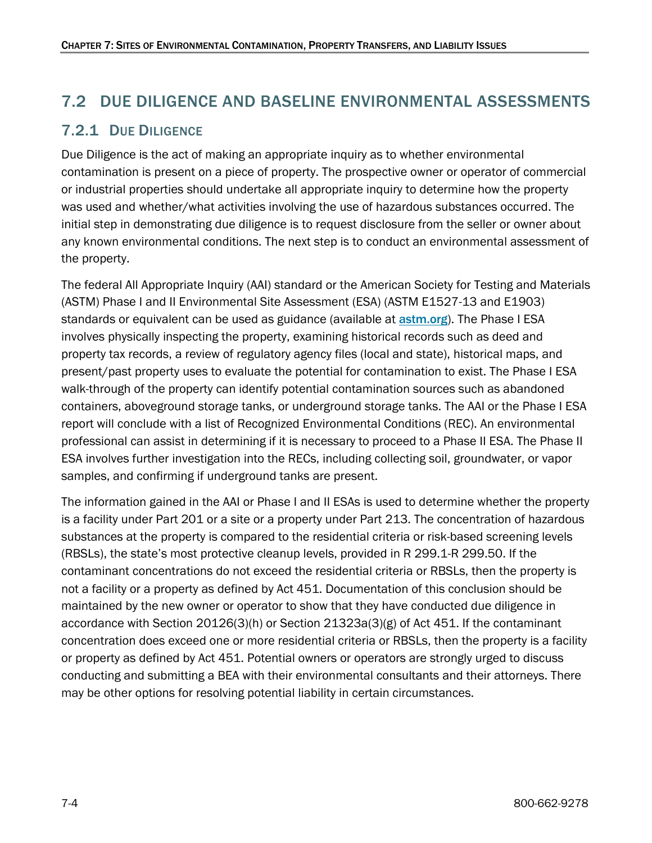### <span id="page-3-0"></span>7.2 DUE DILIGENCE AND BASELINE ENVIRONMENTAL ASSESSMENTS

### <span id="page-3-1"></span>7.2.1 DUE DILIGENCE

Due Diligence is the act of making an appropriate inquiry as to whether environmental contamination is present on a piece of property. The prospective owner or operator of commercial or industrial properties should undertake all appropriate inquiry to determine how the property was used and whether/what activities involving the use of hazardous substances occurred. The initial step in demonstrating due diligence is to request disclosure from the seller or owner about any known environmental conditions. The next step is to conduct an environmental assessment of the property.

The federal All Appropriate Inquiry (AAI) standard or the American Society for Testing and Materials (ASTM) Phase I and II Environmental Site Assessment (ESA) (ASTM E1527-13 and E1903) standards or equivalent can be used as guidance (available at **[astm.org](https://www.astm.org/))**. The Phase I ESA involves physically inspecting the property, examining historical records such as deed and property tax records, a review of regulatory agency files (local and state), historical maps, and present/past property uses to evaluate the potential for contamination to exist. The Phase I ESA walk-through of the property can identify potential contamination sources such as abandoned containers, aboveground storage tanks, or underground storage tanks. The AAI or the Phase I ESA report will conclude with a list of Recognized Environmental Conditions (REC). An environmental professional can assist in determining if it is necessary to proceed to a Phase II ESA. The Phase II ESA involves further investigation into the RECs, including collecting soil, groundwater, or vapor samples, and confirming if underground tanks are present.

The information gained in the AAI or Phase I and II ESAs is used to determine whether the property is a facility under Part 201 or a site or a property under Part 213. The concentration of hazardous substances at the property is compared to the residential criteria or risk-based screening levels (RBSLs), the state's most protective cleanup levels, provided in R 299.1-R 299.50. If the contaminant concentrations do not exceed the residential criteria or RBSLs, then the property is not a facility or a property as defined by Act 451. Documentation of this conclusion should be maintained by the new owner or operator to show that they have conducted due diligence in accordance with Section 20126(3)(h) or Section 21323a(3)(g) of Act 451. If the contaminant concentration does exceed one or more residential criteria or RBSLs, then the property is a facility or property as defined by Act 451. Potential owners or operators are strongly urged to discuss conducting and submitting a BEA with their environmental consultants and their attorneys. There may be other options for resolving potential liability in certain circumstances.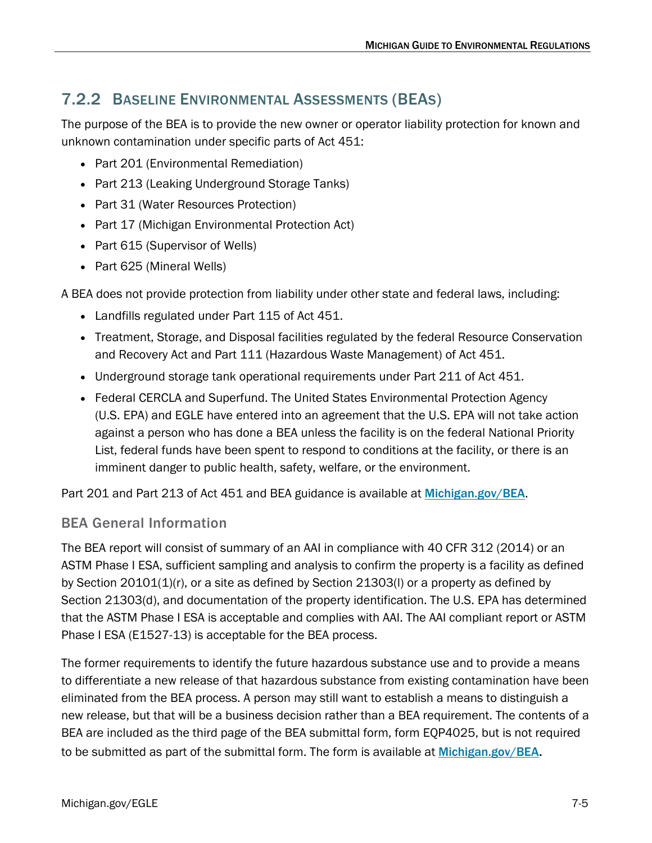### <span id="page-4-0"></span>7.2.2 BASELINE ENVIRONMENTAL ASSESSMENTS (BEAS)

The purpose of the BEA is to provide the new owner or operator liability protection for known and unknown contamination under specific parts of Act 451:

- Part 201 (Environmental Remediation)
- Part 213 (Leaking Underground Storage Tanks)
- Part 31 (Water Resources Protection)
- Part 17 (Michigan Environmental Protection Act)
- Part 615 (Supervisor of Wells)
- Part 625 (Mineral Wells)

A BEA does not provide protection from liability under other state and federal laws, including:

- Landfills regulated under Part 115 of Act 451.
- Treatment, Storage, and Disposal facilities regulated by the federal Resource Conservation and Recovery Act and Part 111 (Hazardous Waste Management) of Act 451.
- Underground storage tank operational requirements under Part 211 of Act 451.
- Federal CERCLA and Superfund. The United States Environmental Protection Agency (U.S. EPA) and EGLE have entered into an agreement that the U.S. EPA will not take action against a person who has done a BEA unless the facility is on the federal National Priority List, federal funds have been spent to respond to conditions at the facility, or there is an imminent danger to public health, safety, welfare, or the environment.

Part 201 and Part 213 of Act 451 and BEA guidance is available at [Michigan.gov/BEA](https://www.michigan.gov/egle/about/organization/remediation-and-redevelopment/baseline-environmental-assessments).

#### <span id="page-4-1"></span>BEA General Information

The BEA report will consist of summary of an AAI in compliance with 40 CFR 312 (2014) or an ASTM Phase I ESA, sufficient sampling and analysis to confirm the property is a facility as defined by Section  $20101(1)(r)$ , or a site as defined by Section  $21303(l)$  or a property as defined by Section 21303(d), and documentation of the property identification. The U.S. EPA has determined that the ASTM Phase I ESA is acceptable and complies with AAI. The AAI compliant report or ASTM Phase I ESA (E1527-13) is acceptable for the BEA process.

The former requirements to identify the future hazardous substance use and to provide a means to differentiate a new release of that hazardous substance from existing contamination have been eliminated from the BEA process. A person may still want to establish a means to distinguish a new release, but that will be a business decision rather than a BEA requirement. The contents of a BEA are included as the third page of the BEA submittal form, form EQP4025, but is not required to be submitted as part of the submittal form. The form is available at [Michigan.gov/BEA](https://www.michigan.gov/egle/about/organization/remediation-and-redevelopment/baseline-environmental-assessments).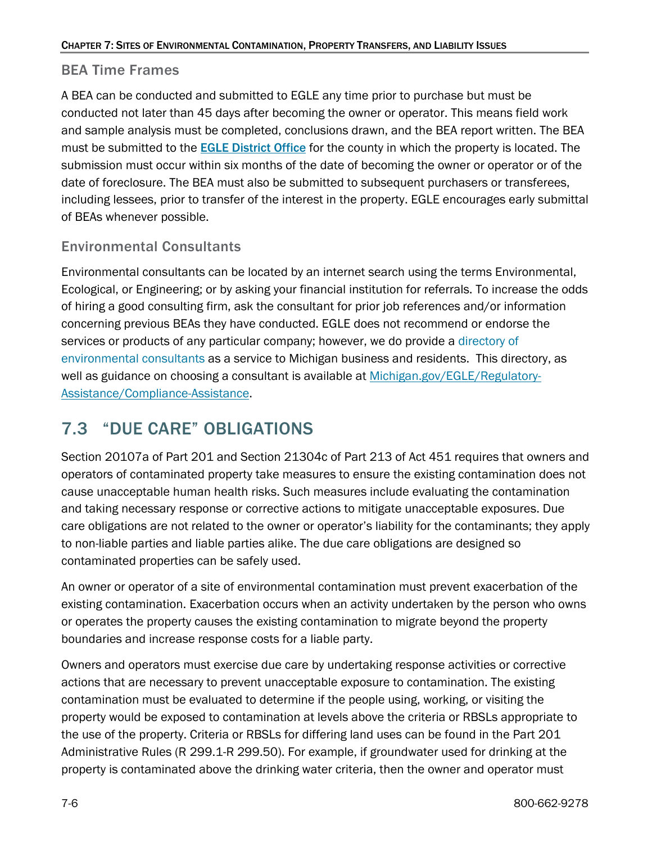#### <span id="page-5-0"></span>BEA Time Frames

A BEA can be conducted and submitted to EGLE any time prior to purchase but must be conducted not later than 45 days after becoming the owner or operator. This means field work and sample analysis must be completed, conclusions drawn, and the BEA report written. The BEA must be submitted to the EGLE [District Office](https://www.michigan.gov/egle/contact/district-office-locations) for the county in which the property is located. The submission must occur within six months of the date of becoming the owner or operator or of the date of foreclosure. The BEA must also be submitted to subsequent purchasers or transferees, including lessees, prior to transfer of the interest in the property. EGLE encourages early submittal of BEAs whenever possible.

### <span id="page-5-1"></span>Environmental Consultants

Environmental consultants can be located by an internet search using the terms Environmental, Ecological, or Engineering; or by asking your financial institution for referrals. To increase the odds of hiring a good consulting firm, ask the consultant for prior job references and/or information concerning previous BEAs they have conducted. EGLE does not recommend or endorse the services or products of any particular company; however, we do provide a [directory of](https://www.michigan.gov/egle/regulatory-assistance/compliance-assistance/environmental-consultant-assistance/consultant-directory)  [environmental consultants](https://www.michigan.gov/egle/regulatory-assistance/compliance-assistance/environmental-consultant-assistance/consultant-directory) as a service to Michigan business and residents. This directory, as well as guidance on choosing a consultant is available at [Michigan.gov/EGLE/Regulatory-](https://www.michigan.gov/egle/regulatory-assistance/compliance-assistance/environmental-consultant-assistance)[Assistance/Compliance-Assistance.](https://www.michigan.gov/egle/regulatory-assistance/compliance-assistance/environmental-consultant-assistance)

### <span id="page-5-2"></span>7.3 "DUE CARE" OBLIGATIONS

Section 20107a of Part 201 and Section 21304c of Part 213 of Act 451 requires that owners and operators of contaminated property take measures to ensure the existing contamination does not cause unacceptable human health risks. Such measures include evaluating the contamination and taking necessary response or corrective actions to mitigate unacceptable exposures. Due care obligations are not related to the owner or operator's liability for the contaminants; they apply to non-liable parties and liable parties alike. The due care obligations are designed so contaminated properties can be safely used.

An owner or operator of a site of environmental contamination must prevent exacerbation of the existing contamination. Exacerbation occurs when an activity undertaken by the person who owns or operates the property causes the existing contamination to migrate beyond the property boundaries and increase response costs for a liable party.

Owners and operators must exercise due care by undertaking response activities or corrective actions that are necessary to prevent unacceptable exposure to contamination. The existing contamination must be evaluated to determine if the people using, working, or visiting the property would be exposed to contamination at levels above the criteria or RBSLs appropriate to the use of the property. Criteria or RBSLs for differing land uses can be found in the Part 201 Administrative Rules (R 299.1-R 299.50). For example, if groundwater used for drinking at the property is contaminated above the drinking water criteria, then the owner and operator must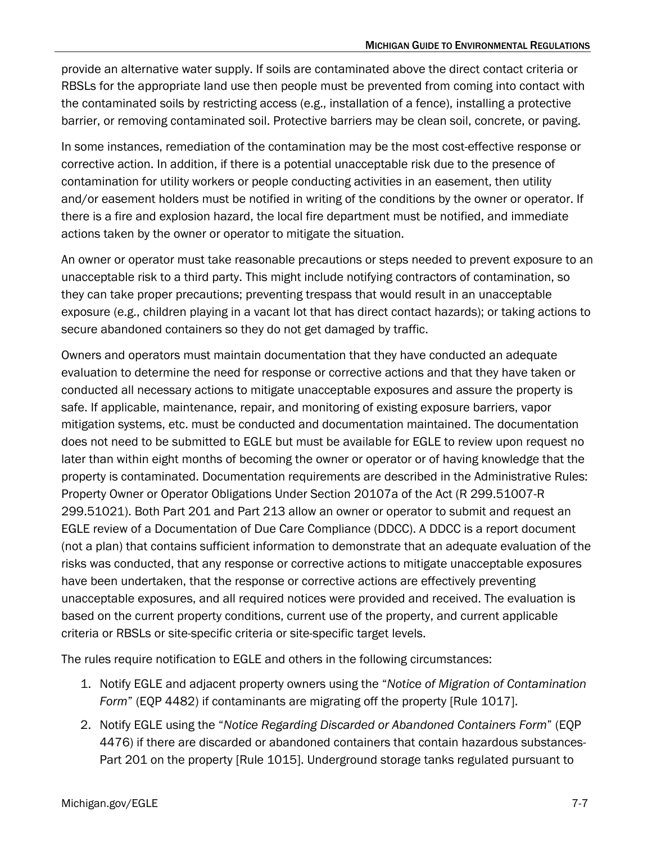provide an alternative water supply. If soils are contaminated above the direct contact criteria or RBSLs for the appropriate land use then people must be prevented from coming into contact with the contaminated soils by restricting access (e.g., installation of a fence), installing a protective barrier, or removing contaminated soil. Protective barriers may be clean soil, concrete, or paving.

In some instances, remediation of the contamination may be the most cost-effective response or corrective action. In addition, if there is a potential unacceptable risk due to the presence of contamination for utility workers or people conducting activities in an easement, then utility and/or easement holders must be notified in writing of the conditions by the owner or operator. If there is a fire and explosion hazard, the local fire department must be notified, and immediate actions taken by the owner or operator to mitigate the situation.

An owner or operator must take reasonable precautions or steps needed to prevent exposure to an unacceptable risk to a third party. This might include notifying contractors of contamination, so they can take proper precautions; preventing trespass that would result in an unacceptable exposure (e.g., children playing in a vacant lot that has direct contact hazards); or taking actions to secure abandoned containers so they do not get damaged by traffic.

Owners and operators must maintain documentation that they have conducted an adequate evaluation to determine the need for response or corrective actions and that they have taken or conducted all necessary actions to mitigate unacceptable exposures and assure the property is safe. If applicable, maintenance, repair, and monitoring of existing exposure barriers, vapor mitigation systems, etc. must be conducted and documentation maintained. The documentation does not need to be submitted to EGLE but must be available for EGLE to review upon request no later than within eight months of becoming the owner or operator or of having knowledge that the property is contaminated. Documentation requirements are described in the Administrative Rules: Property Owner or Operator Obligations Under Section 20107a of the Act (R 299.51007-R 299.51021). Both Part 201 and Part 213 allow an owner or operator to submit and request an EGLE review of a Documentation of Due Care Compliance (DDCC). A DDCC is a report document (not a plan) that contains sufficient information to demonstrate that an adequate evaluation of the risks was conducted, that any response or corrective actions to mitigate unacceptable exposures have been undertaken, that the response or corrective actions are effectively preventing unacceptable exposures, and all required notices were provided and received. The evaluation is based on the current property conditions, current use of the property, and current applicable criteria or RBSLs or site-specific criteria or site-specific target levels.

The rules require notification to EGLE and others in the following circumstances:

- 1. Notify EGLE and adjacent property owners using the "*Notice of Migration of Contamination Form*" (EQP 4482) if contaminants are migrating off the property [Rule 1017].
- 2. Notify EGLE using the "*Notice Regarding Discarded or Abandoned Containers Form*" (EQP 4476) if there are discarded or abandoned containers that contain hazardous substances-Part 201 on the property [Rule 1015]. Underground storage tanks regulated pursuant to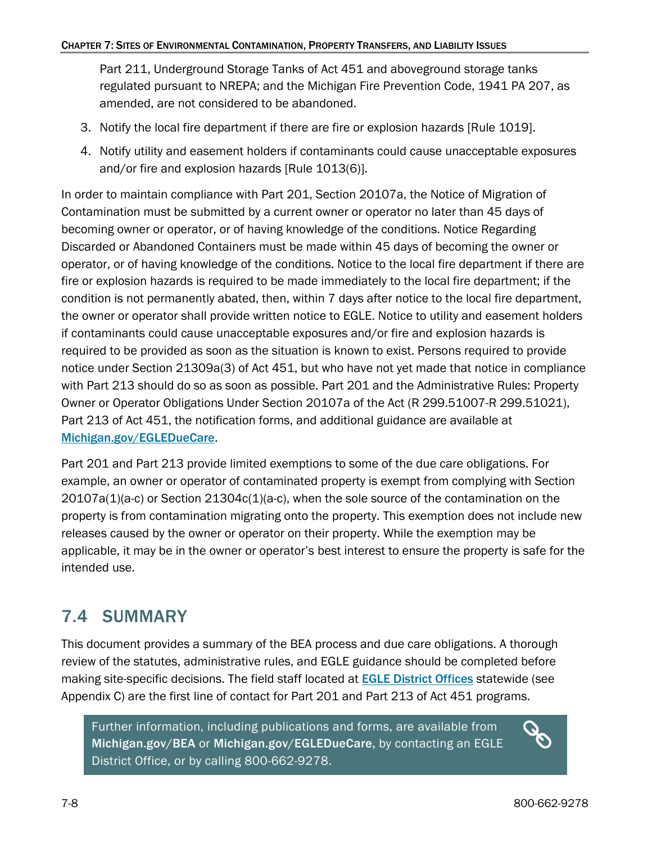Part 211, Underground Storage Tanks of Act 451 and aboveground storage tanks regulated pursuant to NREPA; and the Michigan Fire Prevention Code, 1941 PA 207, as amended, are not considered to be abandoned.

- 3. Notify the local fire department if there are fire or explosion hazards [Rule 1019].
- 4. Notify utility and easement holders if contaminants could cause unacceptable exposures and/or fire and explosion hazards [Rule 1013(6)].

In order to maintain compliance with Part 201, Section 20107a, the Notice of Migration of Contamination must be submitted by a current owner or operator no later than 45 days of becoming owner or operator, or of having knowledge of the conditions. Notice Regarding Discarded or Abandoned Containers must be made within 45 days of becoming the owner or operator, or of having knowledge of the conditions. Notice to the local fire department if there are fire or explosion hazards is required to be made immediately to the local fire department; if the condition is not permanently abated, then, within 7 days after notice to the local fire department, the owner or operator shall provide written notice to EGLE. Notice to utility and easement holders if contaminants could cause unacceptable exposures and/or fire and explosion hazards is required to be provided as soon as the situation is known to exist. Persons required to provide notice under Section 21309a(3) of Act 451, but who have not yet made that notice in compliance with Part 213 should do so as soon as possible. Part 201 and the Administrative Rules: Property Owner or Operator Obligations Under Section 20107a of the Act (R 299.51007-R 299.51021), Part 213 of Act 451, the notification forms, and additional guidance are available at [Michigan.gov/EGLEDueCare](https://www.michigan.gov/egle/about/organization/Remediation-and-Redevelopment/due-care).

Part 201 and Part 213 provide limited exemptions to some of the due care obligations. For example, an owner or operator of contaminated property is exempt from complying with Section  $20107a(1)(a-c)$  or Section  $21304c(1)(a-c)$ , when the sole source of the contamination on the property is from contamination migrating onto the property. This exemption does not include new releases caused by the owner or operator on their property. While the exemption may be applicable, it may be in the owner or operator's best interest to ensure the property is safe for the intended use.

### <span id="page-7-0"></span>7.4 SUMMARY

This document provides a summary of the BEA process and due care obligations. A thorough review of the statutes, administrative rules, and EGLE guidance should be completed before making site-specific decisions. The field staff located at **[EGLE District Offices](https://www.michigan.gov/egle/contact/district-office-locations)** statewide (see Appendix C) are the first line of contact for Part 201 and Part 213 of Act 451 programs.

Further information, including publications and forms, are available from [Michigan.gov/BEA](http://www.michigan.gov/bea) or [Michigan.gov/EGLEDueCare,](https://www.michigan.gov/egleduecare) by contacting an EGLE District Office, or by calling 800-662-9278.